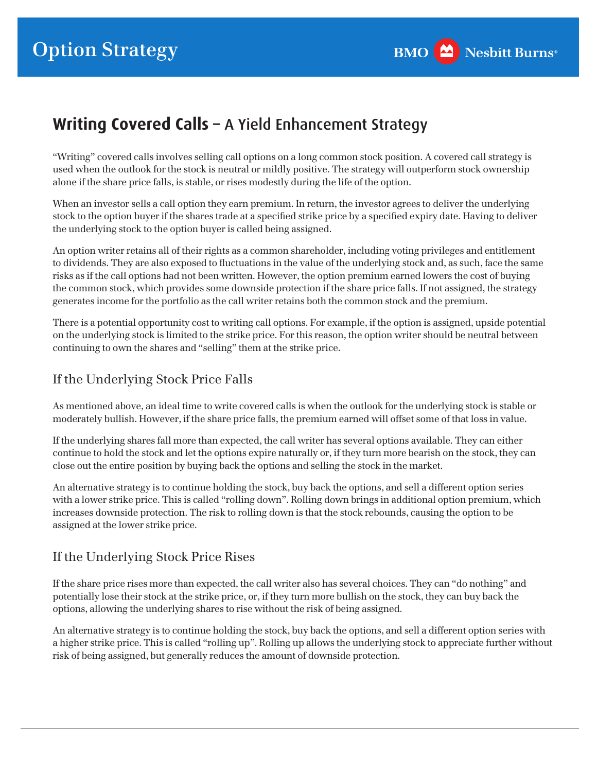# **Writing Covered Calls –** A Yield Enhancement Strategy

"Writing" covered calls involves selling call options on a long common stock position. A covered call strategy is used when the outlook for the stock is neutral or mildly positive. The strategy will outperform stock ownership alone if the share price falls, is stable, or rises modestly during the life of the option.

When an investor sells a call option they earn premium. In return, the investor agrees to deliver the underlying stock to the option buyer if the shares trade at a specifed strike price by a specifed expiry date. Having to deliver the underlying stock to the option buyer is called being assigned.

An option writer retains all of their rights as a common shareholder, including voting privileges and entitlement to dividends. They are also exposed to fuctuations in the value of the underlying stock and, as such, face the same risks as if the call options had not been written. However, the option premium earned lowers the cost of buying the common stock, which provides some downside protection if the share price falls. If not assigned, the strategy generates income for the portfolio as the call writer retains both the common stock and the premium.

There is a potential opportunity cost to writing call options. For example, if the option is assigned, upside potential on the underlying stock is limited to the strike price. For this reason, the option writer should be neutral between continuing to own the shares and "selling" them at the strike price.

## If the Underlying Stock Price Falls

As mentioned above, an ideal time to write covered calls is when the outlook for the underlying stock is stable or moderately bullish. However, if the share price falls, the premium earned will offset some of that loss in value.

If the underlying shares fall more than expected, the call writer has several options available. They can either continue to hold the stock and let the options expire naturally or, if they turn more bearish on the stock, they can close out the entire position by buying back the options and selling the stock in the market.

An alternative strategy is to continue holding the stock, buy back the options, and sell a different option series with a lower strike price. This is called "rolling down". Rolling down brings in additional option premium, which increases downside protection. The risk to rolling down is that the stock rebounds, causing the option to be assigned at the lower strike price.

## If the Underlying Stock Price Rises

If the share price rises more than expected, the call writer also has several choices. They can "do nothing" and potentially lose their stock at the strike price, or, if they turn more bullish on the stock, they can buy back the options, allowing the underlying shares to rise without the risk of being assigned.

An alternative strategy is to continue holding the stock, buy back the options, and sell a different option series with a higher strike price. This is called "rolling up". Rolling up allows the underlying stock to appreciate further without risk of being assigned, but generally reduces the amount of downside protection.